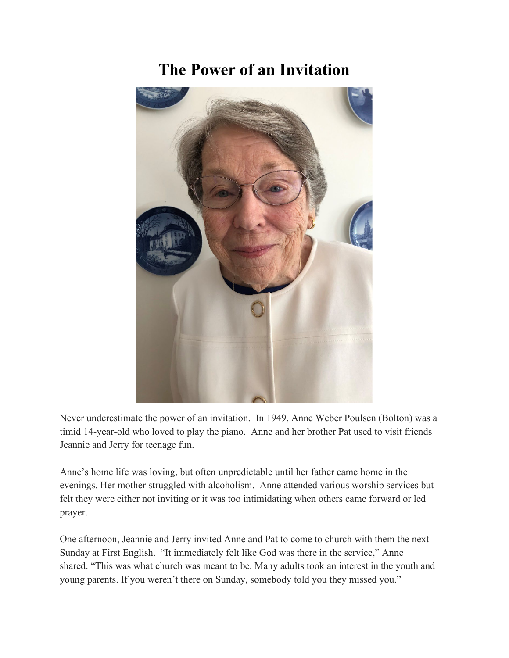## **The Power of an Invitation**



Never underestimate the power of an invitation. In 1949, Anne Weber Poulsen (Bolton) was a timid 14-year-old who loved to play the piano. Anne and her brother Pat used to visit friends Jeannie and Jerry for teenage fun.

Anne's home life was loving, but often unpredictable until her father came home in the evenings. Her mother struggled with alcoholism. Anne attended various worship services but felt they were either not inviting or it was too intimidating when others came forward or led prayer.

One afternoon, Jeannie and Jerry invited Anne and Pat to come to church with them the next Sunday at First English. "It immediately felt like God was there in the service," Anne shared. "This was what church was meant to be. Many adults took an interest in the youth and young parents. If you weren't there on Sunday, somebody told you they missed you."